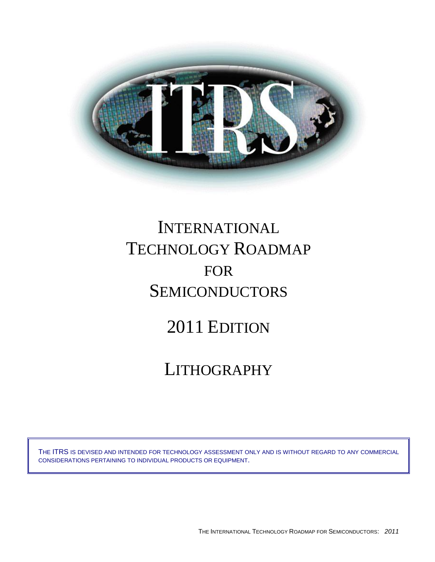

# INTERNATIONAL TECHNOLOGY ROADMAP FOR **SEMICONDUCTORS**

# 2011 EDITION

# LITHOGRAPHY

THE ITRS IS DEVISED AND INTENDED FOR TECHNOLOGY ASSESSMENT ONLY AND IS WITHOUT REGARD TO ANY COMMERCIAL CONSIDERATIONS PERTAINING TO INDIVIDUAL PRODUCTS OR EQUIPMENT.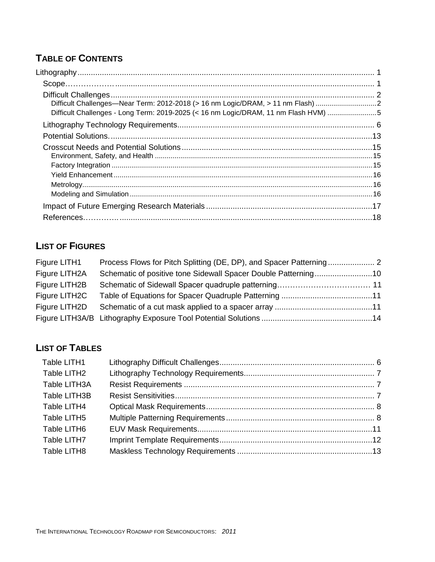# **TABLE OF CONTENTS**

| Difficult Challenges—Near Term: 2012-2018 (> 16 nm Logic/DRAM, > 11 nm Flash) 2     |  |
|-------------------------------------------------------------------------------------|--|
| Difficult Challenges - Long Term: 2019-2025 (< 16 nm Logic/DRAM, 11 nm Flash HVM) 5 |  |
|                                                                                     |  |
|                                                                                     |  |
|                                                                                     |  |
|                                                                                     |  |
|                                                                                     |  |
|                                                                                     |  |
|                                                                                     |  |
|                                                                                     |  |
|                                                                                     |  |
|                                                                                     |  |

# **LIST OF FIGURES**

| Figure LITH1  |  |
|---------------|--|
| Figure LITH2A |  |
| Figure LITH2B |  |
| Figure LITH2C |  |
| Figure LITH2D |  |
|               |  |

# **LIST OF TABLES**

| Table LITH1  |  |
|--------------|--|
| Table LITH2  |  |
| Table LITH3A |  |
| Table LITH3B |  |
| Table LITH4  |  |
| Table LITH5  |  |
| Table LITH6  |  |
| Table LITH7  |  |
| Table LITH8  |  |
|              |  |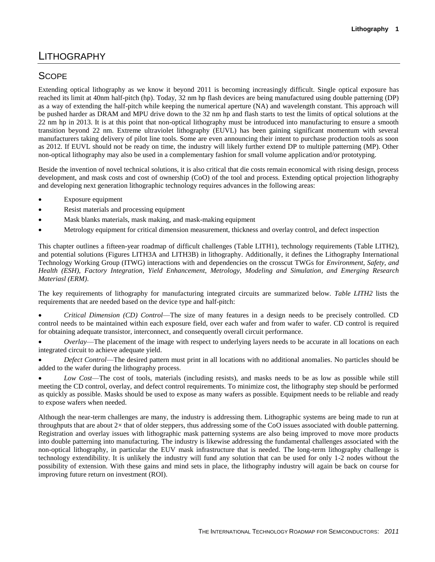# LITHOGRAPHY

# **SCOPE**

Extending optical lithography as we know it beyond 2011 is becoming increasingly difficult. Single optical exposure has reached its limit at 40nm half-pitch (hp). Today, 32 nm hp flash devices are being manufactured using double patterning (DP) as a way of extending the half-pitch while keeping the numerical aperture (NA) and wavelength constant. This approach will be pushed harder as DRAM and MPU drive down to the 32 nm hp and flash starts to test the limits of optical solutions at the 22 nm hp in 2013. It is at this point that non-optical lithography must be introduced into manufacturing to ensure a smooth transition beyond 22 nm. Extreme ultraviolet lithography (EUVL) has been gaining significant momentum with several manufacturers taking delivery of pilot line tools. Some are even announcing their intent to purchase production tools as soon as 2012. If EUVL should not be ready on time, the industry will likely further extend DP to multiple patterning (MP). Other non-optical lithography may also be used in a complementary fashion for small volume application and/or prototyping.

Beside the invention of novel technical solutions, it is also critical that die costs remain economical with rising design, process development, and mask costs and cost of ownership (CoO) of the tool and process. Extending optical projection lithography and developing next generation lithographic technology requires advances in the following areas:

- Exposure equipment
- Resist materials and processing equipment
- Mask blanks materials, mask making, and mask-making equipment
- Metrology equipment for critical dimension measurement, thickness and overlay control, and defect inspection

This chapter outlines a fifteen-year roadmap of difficult challenges (Table LITH1), technology requirements (Table LITH2), and potential solutions (Figures LITH3A and LITH3B) in lithography. Additionally, it defines the Lithography International Technology Working Group (ITWG) interactions with and dependencies on the crosscut TWGs for *Environment, Safety, and Health (ESH)*, *Factory Integration, Yield Enhancement*, *Metrology*, *Modeling and Simulation, and Emerging Research Materiasl (ERM)*.

The key requirements of lithography for manufacturing integrated circuits are summarized below. *Table LITH2* lists the requirements that are needed based on the device type and half-pitch:

 *Critical Dimension (CD) Control*—The size of many features in a design needs to be precisely controlled. CD control needs to be maintained within each exposure field, over each wafer and from wafer to wafer. CD control is required for obtaining adequate transistor, interconnect, and consequently overall circuit performance.

 *Overlay*—The placement of the image with respect to underlying layers needs to be accurate in all locations on each integrated circuit to achieve adequate yield.

 *Defect Control*—The desired pattern must print in all locations with no additional anomalies. No particles should be added to the wafer during the lithography process.

 *Low Cost*—The cost of tools, materials (including resists), and masks needs to be as low as possible while still meeting the CD control, overlay, and defect control requirements. To minimize cost, the lithography step should be performed as quickly as possible. Masks should be used to expose as many wafers as possible. Equipment needs to be reliable and ready to expose wafers when needed.

Although the near-term challenges are many, the industry is addressing them. Lithographic systems are being made to run at throughputs that are about 2× that of older steppers, thus addressing some of the CoO issues associated with double patterning. Registration and overlay issues with lithographic mask patterning systems are also being improved to move more products into double patterning into manufacturing. The industry is likewise addressing the fundamental challenges associated with the non-optical lithography, in particular the EUV mask infrastructure that is needed. The long-term lithography challenge is technology extendibility. It is unlikely the industry will fund any solution that can be used for only 1-2 nodes without the possibility of extension. With these gains and mind sets in place, the lithography industry will again be back on course for improving future return on investment (ROI).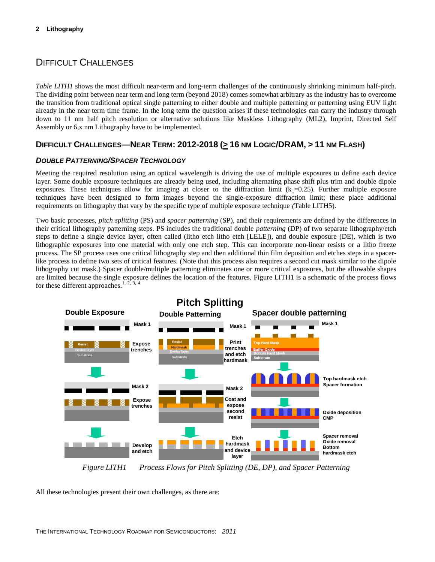## DIFFICULT CHALLENGES

*Table LITH1* shows the most difficult near-term and long-term challenges of the continuously shrinking minimum half-pitch. The dividing point between near term and long term (beyond 2018) comes somewhat arbitrary as the industry has to overcome the transition from traditional optical single patterning to either double and multiple patterning or patterning using EUV light already in the near term time frame. In the long term the question arises if these technologies can carry the industry through down to 11 nm half pitch resolution or alternative solutions like Maskless Lithography (ML2), Imprint, Directed Self Assembly or 6,x nm Lithography have to be implemented.

## DIFFICULT CHALLENGES-NEAR TERM: 2012-2018 (> 16 NM LOGIC/DRAM, > 11 NM FLASH)

#### *DOUBLE PATTERNING/SPACER TECHNOLOGY*

Meeting the required resolution using an optical wavelength is driving the use of multiple exposures to define each device layer. Some double exposure techniques are already being used, including alternating phase shift plus trim and double dipole exposures. These techniques allow for imaging at closer to the diffraction limit  $(k_1=0.25)$ . Further multiple exposure techniques have been designed to form images beyond the single-exposure diffraction limit; these place additional requirements on lithography that vary by the specific type of multiple exposure technique *(*Table LITH5).

Two basic processes, *pitch splitting* (PS) and *spacer patterning* (SP), and their requirements are defined by the differences in their critical lithography patterning steps. PS includes the traditional double *patterning* (DP) of two separate lithography/etch steps to define a single device layer, often called (litho etch litho etch [LELE]), and double exposure (DE), which is two lithographic exposures into one material with only one etch step. This can incorporate non-linear resists or a litho freeze process. The SP process uses one critical lithography step and then additional thin film deposition and etches steps in a spacerlike process to define two sets of critical features. (Note that this process also requires a second cut mask similar to the dipole lithography cut mask.) Spacer double/multiple patterning eliminates one or more critical exposures, but the allowable shapes are limited because the single exposure defines the location of the features. Figure LITH1 is a schematic of the process flows for these different approaches.<sup>1, 2, 3, 4</sup>



*Figure LITH1 Process Flows for Pitch Splitting (DE, DP), and Spacer Patterning*

All these technologies present their own challenges, as there are: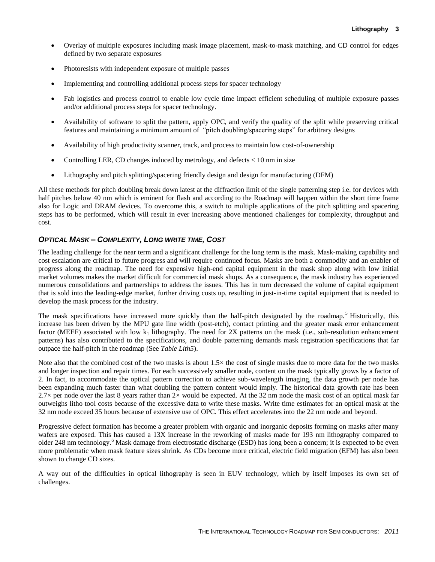- Overlay of multiple exposures including mask image placement, mask-to-mask matching, and CD control for edges defined by two separate exposures
- Photoresists with independent exposure of multiple passes
- Implementing and controlling additional process steps for spacer technology
- Fab logistics and process control to enable low cycle time impact efficient scheduling of multiple exposure passes and/or additional process steps for spacer technology.
- Availability of software to split the pattern, apply OPC, and verify the quality of the split while preserving critical features and maintaining a minimum amount of "pitch doubling/spacering steps" for arbitrary designs
- Availability of high productivity scanner, track, and process to maintain low cost-of-ownership
- Controlling LER, CD changes induced by metrology, and defects  $< 10$  nm in size
- Lithography and pitch splitting/spacering friendly design and design for manufacturing (DFM)

All these methods for pitch doubling break down latest at the diffraction limit of the single patterning step i.e. for devices with half pitches below 40 nm which is eminent for flash and according to the Roadmap will happen within the short time frame also for Logic and DRAM devices. To overcome this, a switch to multiple applications of the pitch splitting and spacering steps has to be performed, which will result in ever increasing above mentioned challenges for complexity, throughput and cost.

#### *OPTICAL MASK – COMPLEXITY, LONG WRITE TIME, COST*

The leading challenge for the near term and a significant challenge for the long term is the mask. Mask-making capability and cost escalation are critical to future progress and will require continued focus. Masks are both a commodity and an enabler of progress along the roadmap. The need for expensive high-end capital equipment in the mask shop along with low initial market volumes makes the market difficult for commercial mask shops. As a consequence, the mask industry has experienced numerous consolidations and partnerships to address the issues. This has in turn decreased the volume of capital equipment that is sold into the leading-edge market, further driving costs up, resulting in just-in-time capital equipment that is needed to develop the mask process for the industry.

The mask specifications have increased more quickly than the half-pitch designated by the roadmap.<sup>5</sup> Historically, this increase has been driven by the MPU gate line width (post-etch), contact printing and the greater mask error enhancement factor (MEEF) associated with low  $k_1$  lithography. The need for 2X patterns on the mask (i.e., sub-resolution enhancement patterns) has also contributed to the specifications, and double patterning demands mask registration specifications that far outpace the half-pitch in the roadmap (See *Table Lith5*).

Note also that the combined cost of the two masks is about  $1.5\times$  the cost of single masks due to more data for the two masks and longer inspection and repair times. For each successively smaller node, content on the mask typically grows by a factor of 2. In fact, to accommodate the optical pattern correction to achieve sub-wavelength imaging, the data growth per node has been expanding much faster than what doubling the pattern content would imply. The historical data growth rate has been 2.7 $\times$  per node over the last 8 years rather than 2 $\times$  would be expected. At the 32 nm node the mask cost of an optical mask far outweighs litho tool costs because of the excessive data to write these masks. Write time estimates for an optical mask at the 32 nm node exceed 35 hours because of extensive use of OPC. This effect accelerates into the 22 nm node and beyond.

Progressive defect formation has become a greater problem with organic and inorganic deposits forming on masks after many wafers are exposed. This has caused a 13X increase in the reworking of masks made for 193 nm lithography compared to older 248 nm technology.<sup>6</sup> Mask damage from electrostatic discharge (ESD) has long been a concern; it is expected to be even more problematic when mask feature sizes shrink. As CDs become more critical, electric field migration (EFM) has also been shown to change CD sizes.

A way out of the difficulties in optical lithography is seen in EUV technology, which by itself imposes its own set of challenges.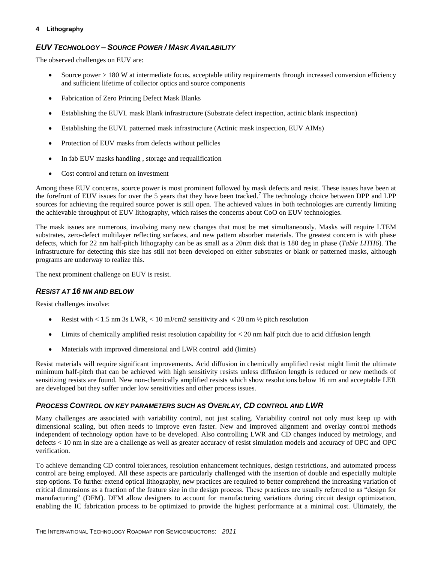### *EUV TECHNOLOGY – SOURCE POWER / MASK AVAILABILITY*

The observed challenges on EUV are:

- Source power > 180 W at intermediate focus, acceptable utility requirements through increased conversion efficiency and sufficient lifetime of collector optics and source components
- Fabrication of Zero Printing Defect Mask Blanks
- Establishing the EUVL mask Blank infrastructure (Substrate defect inspection, actinic blank inspection)
- Establishing the EUVL patterned mask infrastructure (Actinic mask inspection, EUV AIMs)
- Protection of EUV masks from defects without pellicles
- In fab EUV masks handling, storage and requalification
- Cost control and return on investment

Among these EUV concerns, source power is most prominent followed by mask defects and resist. These issues have been at the forefront of EUV issues for over the 5 years that they have been tracked.<sup>7</sup> The technology choice between DPP and LPP sources for achieving the required source power is still open. The achieved values in both technologies are currently limiting the achievable throughput of EUV lithography, which raises the concerns about CoO on EUV technologies.

The mask issues are numerous, involving many new changes that must be met simultaneously. Masks will require LTEM substrates, zero-defect multilayer reflecting surfaces, and new pattern absorber materials. The greatest concern is with phase defects, which for 22 nm half-pitch lithography can be as small as a 20nm disk that is 180 deg in phase (*Table LITH6*). The infrastructure for detecting this size has still not been developed on either substrates or blank or patterned masks, although programs are underway to realize this.

The next prominent challenge on EUV is resist.

#### *RESIST AT 16 NM AND BELOW*

Resist challenges involve:

- Resist with  $< 1.5$  nm 3s LWR,  $< 10$  mJ/cm2 sensitivity and  $< 20$  nm  $\frac{1}{2}$  pitch resolution
- $\bullet$  Limits of chemically amplified resist resolution capability for  $\lt 20$  nm half pitch due to acid diffusion length
- Materials with improved dimensional and LWR control add (limits)

Resist materials will require significant improvements. Acid diffusion in chemically amplified resist might limit the ultimate minimum half-pitch that can be achieved with high sensitivity resists unless diffusion length is reduced or new methods of sensitizing resists are found. New non-chemically amplified resists which show resolutions below 16 nm and acceptable LER are developed but they suffer under low sensitivities and other process issues.

#### *PROCESS CONTROL ON KEY PARAMETERS SUCH AS OVERLAY, CD CONTROL AND LWR*

Many challenges are associated with variability control, not just scaling. Variability control not only must keep up with dimensional scaling, but often needs to improve even faster. New and improved alignment and overlay control methods independent of technology option have to be developed. Also controlling LWR and CD changes induced by metrology, and defects < 10 nm in size are a challenge as well as greater accuracy of resist simulation models and accuracy of OPC and OPC verification.

To achieve demanding CD control tolerances, resolution enhancement techniques, design restrictions, and automated process control are being employed. All these aspects are particularly challenged with the insertion of double and especially multiple step options. To further extend optical lithography, new practices are required to better comprehend the increasing variation of critical dimensions as a fraction of the feature size in the design process. These practices are usually referred to as "design for manufacturing" (DFM). DFM allow designers to account for manufacturing variations during circuit design optimization, enabling the IC fabrication process to be optimized to provide the highest performance at a minimal cost. Ultimately, the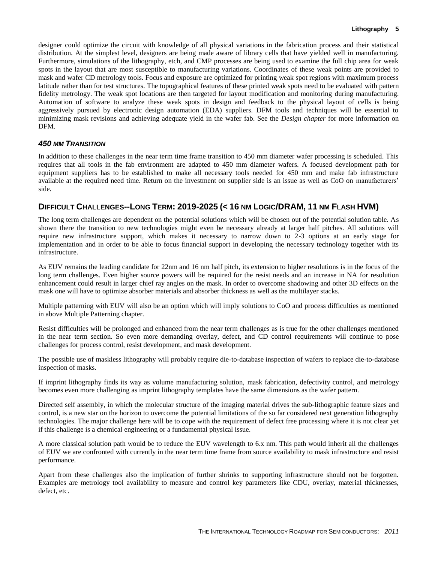designer could optimize the circuit with knowledge of all physical variations in the fabrication process and their statistical distribution. At the simplest level, designers are being made aware of library cells that have yielded well in manufacturing. Furthermore, simulations of the lithography, etch, and CMP processes are being used to examine the full chip area for weak spots in the layout that are most susceptible to manufacturing variations. Coordinates of these weak points are provided to mask and wafer CD metrology tools. Focus and exposure are optimized for printing weak spot regions with maximum process latitude rather than for test structures. The topographical features of these printed weak spots need to be evaluated with pattern fidelity metrology. The weak spot locations are then targeted for layout modification and monitoring during manufacturing. Automation of software to analyze these weak spots in design and feedback to the physical layout of cells is being aggressively pursued by electronic design automation (EDA) suppliers. DFM tools and techniques will be essential to minimizing mask revisions and achieving adequate yield in the wafer fab. See the *Design chapter* for more information on DFM.

#### *450 MM TRANSITION*

In addition to these challenges in the near term time frame transition to 450 mm diameter wafer processing is scheduled. This requires that all tools in the fab environment are adapted to 450 mm diameter wafers. A focused development path for equipment suppliers has to be established to make all necessary tools needed for 450 mm and make fab infrastructure available at the required need time. Return on the investment on supplier side is an issue as well as CoO on manufacturers' side.

## DIFFICULT CHALLENGES--LONG TERM: 2019-2025 (< 16 NM LOGIC/DRAM, 11 NM FLASH HVM)

The long term challenges are dependent on the potential solutions which will be chosen out of the potential solution table. As shown there the transition to new technologies might even be necessary already at larger half pitches. All solutions will require new infrastructure support, which makes it necessary to narrow down to 2-3 options at an early stage for implementation and in order to be able to focus financial support in developing the necessary technology together with its infrastructure.

As EUV remains the leading candidate for 22nm and 16 nm half pitch, its extension to higher resolutions is in the focus of the long term challenges. Even higher source powers will be required for the resist needs and an increase in NA for resolution enhancement could result in larger chief ray angles on the mask. In order to overcome shadowing and other 3D effects on the mask one will have to optimize absorber materials and absorber thickness as well as the multilayer stacks.

Multiple patterning with EUV will also be an option which will imply solutions to CoO and process difficulties as mentioned in above Multiple Patterning chapter.

Resist difficulties will be prolonged and enhanced from the near term challenges as is true for the other challenges mentioned in the near term section. So even more demanding overlay, defect, and CD control requirements will continue to pose challenges for process control, resist development, and mask development.

The possible use of maskless lithography will probably require die-to-database inspection of wafers to replace die-to-database inspection of masks.

If imprint lithography finds its way as volume manufacturing solution, mask fabrication, defectivity control, and metrology becomes even more challenging as imprint lithography templates have the same dimensions as the wafer pattern.

Directed self assembly, in which the molecular structure of the imaging material drives the sub-lithographic feature sizes and control, is a new star on the horizon to overcome the potential limitations of the so far considered next generation lithography technologies. The major challenge here will be to cope with the requirement of defect free processing where it is not clear yet if this challenge is a chemical engineering or a fundamental physical issue.

A more classical solution path would be to reduce the EUV wavelength to 6.x nm. This path would inherit all the challenges of EUV we are confronted with currently in the near term time frame from source availability to mask infrastructure and resist performance.

Apart from these challenges also the implication of further shrinks to supporting infrastructure should not be forgotten. Examples are metrology tool availability to measure and control key parameters like CDU, overlay, material thicknesses, defect, etc.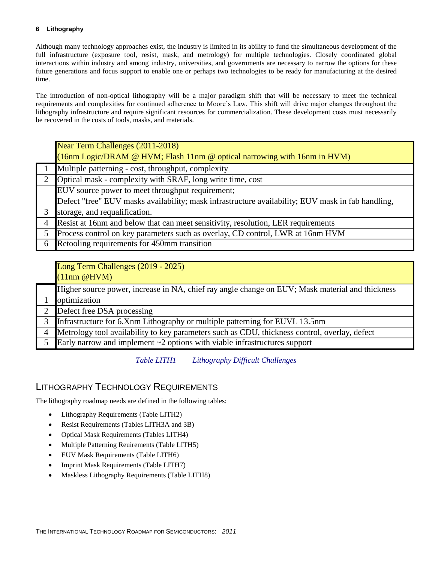Although many technology approaches exist, the industry is limited in its ability to fund the simultaneous development of the full infrastructure (exposure tool, resist, mask, and metrology) for multiple technologies. Closely coordinated global interactions within industry and among industry, universities, and governments are necessary to narrow the options for these future generations and focus support to enable one or perhaps two technologies to be ready for manufacturing at the desired time.

The introduction of non-optical lithography will be a major paradigm shift that will be necessary to meet the technical requirements and complexities for continued adherence to Moore's Law. This shift will drive major changes throughout the lithography infrastructure and require significant resources for commercialization. These development costs must necessarily be recovered in the costs of tools, masks, and materials.

|   | Near Term Challenges (2011-2018)                                                                  |  |  |  |
|---|---------------------------------------------------------------------------------------------------|--|--|--|
|   | (16nm Logic/DRAM @ HVM; Flash 11nm @ optical narrowing with 16nm in HVM)                          |  |  |  |
|   | Multiple patterning - cost, throughput, complexity                                                |  |  |  |
|   | Optical mask - complexity with SRAF, long write time, cost                                        |  |  |  |
|   | EUV source power to meet throughput requirement;                                                  |  |  |  |
|   | Defect "free" EUV masks availability; mask infrastructure availability; EUV mask in fab handling, |  |  |  |
|   | storage, and requalification.                                                                     |  |  |  |
| 4 | Resist at 16nm and below that can meet sensitivity, resolution, LER requirements                  |  |  |  |
| 5 | Process control on key parameters such as overlay, CD control, LWR at 16nm HVM                    |  |  |  |
| 6 | Retooling requirements for 450mm transition                                                       |  |  |  |

|   | Long Term Challenges (2019 - 2025)<br>$(11nm \ @HVM)$                                           |
|---|-------------------------------------------------------------------------------------------------|
|   | Higher source power, increase in NA, chief ray angle change on EUV; Mask material and thickness |
|   | optimization                                                                                    |
|   | 2 Defect free DSA processing                                                                    |
| 3 | Infrastructure for 6.Xnm Lithography or multiple patterning for EUVL 13.5nm                     |
|   | 4 Metrology tool availability to key parameters such as CDU, thickness control, overlay, defect |
| 5 | Early narrow and implement $\sim$ 2 options with viable infrastructures support                 |

*Table LITH1 Lithography Difficult Challenges*

## LITHOGRAPHY TECHNOLOGY REQUIREMENTS

The lithography roadmap needs are defined in the following tables:

- Lithography Requirements (Table LITH2)
- Resist Requirements (Tables LITH3A and 3B)
- Optical Mask Requirements (Tables LITH4)
- Multiple Patterning Reuirements (Table LITH5)
- EUV Mask Requirements (Table LITH6)
- Imprint Mask Requirements (Table LITH7)
- Maskless Lithography Requirements (Table LITH8)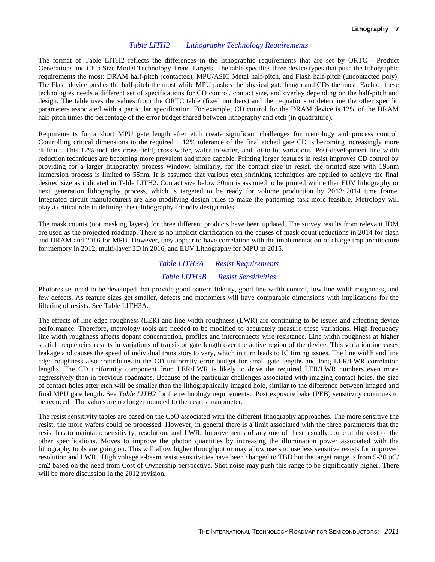#### *Table LITH2 Lithography Technology Requirements*

The format of Table LITH2 reflects the differences in the lithographic requirements that are set by ORTC - Product Generations and Chip Size Model Technology Trend Targets. The table specifies three device types that push the lithographic requirements the most: DRAM half-pitch (contacted), MPU/ASIC Metal half-pitch, and Flash half-pitch (uncontacted poly). The Flash device pushes the half-pitch the most while MPU pushes the physical gate length and CDs the most. Each of these technologies needs a different set of specifications for CD control, contact size, and overlay depending on the half-pitch and design. The table uses the values from the ORTC table (fixed numbers) and then equations to determine the other specific parameters associated with a particular specification. For example, CD control for the DRAM device is 12% of the DRAM half-pitch times the percentage of the error budget shared between lithography and etch (in quadrature).

Requirements for a short MPU gate length after etch create significant challenges for metrology and process control. Controlling critical dimensions to the required  $\pm$  12% tolerance of the final etched gate CD is becoming increasingly more difficult. This 12% includes cross-field, cross-wafer, wafer-to-wafer, and lot-to-lot variations. Post-development line width reduction techniques are becoming more prevalent and more capable. Printing larger features in resist improves CD control by providing for a larger lithography process window. Similarly, for the contact size in resist, the printed size with 193nm immersion process is limited to 55nm. It is assumed that various etch shrinking techniques are applied to achieve the final desired size as indicated in Table LITH2. Contact size below 30nm is assumed to be printed with either EUV lithography or next generation lithography process, which is targeted to be ready for volume production by 2013~2014 time frame. Integrated circuit manufacturers are also modifying design rules to make the patterning task more feasible. Metrology will play a critical role in defining these lithography-friendly design rules.

The mask counts (not masking layers) for three different products have been updated. The survey results from relevant IDM are used as the projected roadmap. There is no implicit clarification on the causes of mask count reductions in 2014 for flash and DRAM and 2016 for MPU. However, they appear to have correlation with the implementation of charge trap architecture for memory in 2012, multi-layer 3D in 2016, and EUV Lithography for MPU in 2015.

# *Table LITH3A Resist Requirements Table LITH3B Resist Sensitivities*

Photoresists need to be developed that provide good pattern fidelity, good line width control, low line width roughness, and few defects. As feature sizes get smaller, defects and monomers will have comparable dimensions with implications for the filtering of resists. See Table LITH3A.

The effects of line edge roughness (LER) and line width roughness (LWR) are continuing to be issues and affecting device performance. Therefore, metrology tools are needed to be modified to accurately measure these variations. High frequency line width roughness affects dopant concentration, profiles and interconnects wire resistance. Line width roughness at higher spatial frequencies results in variations of transistor gate length over the active region of the device. This variation increases leakage and causes the speed of individual transistors to vary, which in turn leads to IC timing issues. The line width and line edge roughness also contributes to the CD uniformity error budget for small gate lengths and long LER/LWR correlation lengths. The CD uniformity component from LER/LWR is likely to drive the required LER/LWR numbers even more aggressively than in previous roadmaps. Because of the particular challenges associated with imaging contact holes, the size of contact holes after etch will be smaller than the lithographically imaged hole, similar to the difference between imaged and final MPU gate length. See *Table LITH2* for the technology requirements. Post exposure bake (PEB) sensitivity continues to be reduced. The values are no longer rounded to the nearest nanometer.

The resist sensitivity tables are based on the CoO associated with the different lithography approaches. The more sensitive the resist, the more wafers could be processed. However, in general there is a limit associated with the three parameters that the resist has to maintain: sensitivity, resolution, and LWR. Improvements of any one of these usually come at the cost of the other specifications. Moves to improve the photon quantities by increasing the illumination power associated with the lithography tools are going on. This will allow higher throughput or may allow users to use less sensitive resists for improved resolution and LWR. High voltage e-beam resist sensitivities have been changed to TBD but the target range is from 5-30 µC/ cm2 based on the need from Cost of Ownership perspective. Shot noise may push this range to be significantly higher. There will be more discussion in the 2012 revision.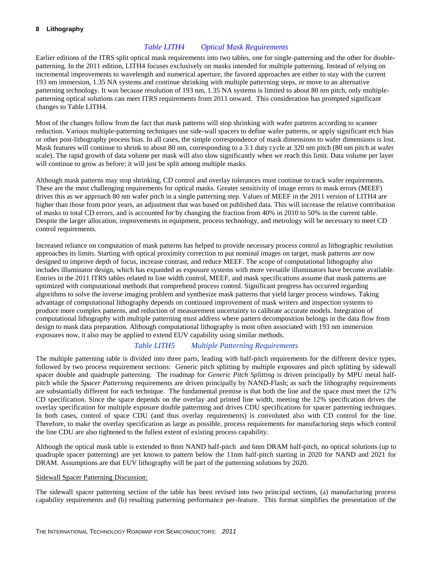#### *Table LITH4 Optical Mask Requirements*

Earlier editions of the ITRS split optical mask requirements into two tables, one for single-patterning and the other for doublepatterning. In the 2011 edition, LITH4 focuses exclusively on masks intended for multiple patterning. Instead of relying on incremental improvements to wavelength and numerical aperture, the favored approaches are either to stay with the current 193 nm immersion, 1.35 NA systems and continue shrinking with multiple patterning steps, or move to an alternative patterning technology. It was because resolution of 193 nm, 1.35 NA systems is limited to about 80 nm pitch, only multiplepatterning optical solutions can meet ITRS requirements from 2011 onward. This consideration has prompted significant changes to Table LITH4.

Most of the changes follow from the fact that mask patterns will stop shrinking with wafer patterns according to scanner reduction. Various multiple-patterning techniques use side-wall spacers to define wafer patterns, or apply significant etch bias or other post-lithography process bias. In all cases, the simple correspondence of mask dimensions to wafer dimensions is lost. Mask features will continue to shrink to about 80 nm, corresponding to a 3:1 duty cycle at 320 nm pitch (80 nm pitch at wafer scale). The rapid growth of data volume per mask will also slow significantly when we reach this limit. Data volume per layer will continue to grow as before; it will just be split among multiple masks.

Although mask patterns may stop shrinking, CD control and overlay tolerances must continue to track wafer requirements. These are the most challenging requirements for optical masks. Greater sensitivity of image errors to mask errors (MEEF) drives this as we approach 80 nm wafer pitch in a single patterning step. Values of MEEF in the 2011 version of LITH4 are higher than those from prior years, an adjustment that was based on published data. This will increase the relative contribution of masks to total CD errors, and is accounted for by changing the fraction from 40% in 2010 to 50% in the current table. Despite the larger allocation, improvements in equipment, process technology, and metrology will be necessary to meet CD control requirements.

Increased reliance on computation of mask patterns has helped to provide necessary process control as lithographic resolution approaches its limits. Starting with optical proximity correction to put nominal images on target, mask patterns are now designed to improve depth of focus, increase contrast, and reduce MEEF. The scope of computational lithography also includes illuminator design, which has expanded as exposure systems with more versatile illuminators have become available. Entries in the 2011 ITRS tables related to line width control, MEEF, and mask specifications assume that mask patterns are optimized with computational methods that comprehend process control. Significant progress has occurred regarding algorithms to solve the inverse imaging problem and synthesize mask patterns that yield larger process windows. Taking advantage of computational lithography depends on continued improvement of mask writers and inspection systems to produce more complex patterns, and reduction of measurement uncertainty to calibrate accurate models. Integration of computational lithography with multiple patterning must address where pattern decomposition belongs in the data flow from design to mask data preparation. Although computational lithography is most often associated with 193 nm immersion exposures now, it also may be applied to extend EUV capability using similar methods.

#### *Table LITH5 Multiple Patterning Requirements*

The multiple patterning table is divided into three parts, leading with half-pitch requirements for the different device types, followed by two process requirement sections: Generic pitch splitting by multiple exposures and pitch splitting by sidewall spacer double and quadruple patterning. The roadmap for *Generic Pitch Splitting* is driven principally by MPU metal halfpitch while the *Spacer Patterning* requirements are driven principally by NAND-Flash; as such the lithography requirements are substantially different for each technique. The fundamental premise is that both the line and the space must meet the 12% CD specification. Since the space depends on the overlay and printed line width, meeting the 12% specification drives the overlay specification for multiple exposure double patterning and drives CDU specifications for spacer patterning techniques. In both cases, control of space CDU (and thus overlay requirements) is convoluted also with CD control for the line. Therefore, to make the overlay specification as large as possible, process requirements for manufacturing steps which control the line CDU are also tightened to the fullest extent of existing process capability.

Although the optical mask table is extended to 8nm NAND half-pitch and 6nm DRAM half-pitch, no optical solutions (up to quadruple spacer patterning) are yet known to pattern below the 11nm half-pitch starting in 2020 for NAND and 2021 for DRAM. Assumptions are that EUV lithography will be part of the patterning solutions by 2020.

#### Sidewall Spacer Patterning Discussion:

The sidewall spacer patterning section of the table has been revised into two principal sections, (a) manufacturing process capability requirements and (b) resulting patterning performance per-feature. This format simplifies the presentation of the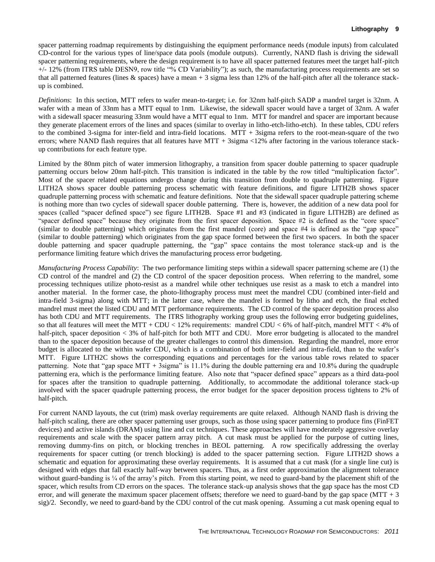spacer patterning roadmap requirements by distinguishing the equipment performance needs (module inputs) from calculated CD-control for the various types of line/space data pools (module outputs). Currently, NAND flash is driving the sidewall spacer patterning requirements, where the design requirement is to have all spacer patterned features meet the target half-pitch +/- 12% (from ITRS table DESN9, row title "% CD Variability"); as such, the manufacturing process requirements are set so that all patterned features (lines & spaces) have a mean + 3 sigma less than 12% of the half-pitch after all the tolerance stackup is combined.

*Definitions*: In this section, MTT refers to wafer mean-to-target; i.e. for 32nm half-pitch SADP a mandrel target is 32nm. A wafer with a mean of 33nm has a MTT equal to 1nm. Likewise, the sidewall spacer would have a target of 32nm. A wafer with a sidewall spacer measuring 33nm would have a MTT equal to 1nm. MTT for mandrel and spacer are important because they generate placement errors of the lines and spaces (similar to overlay in litho-etch-litho-etch). In these tables, CDU refers to the combined 3-sigma for inter-field and intra-field locations. MTT + 3sigma refers to the root-mean-square of the two errors; where NAND flash requires that all features have MTT + 3sigma <12% after factoring in the various tolerance stackup contributions for each feature type.

Limited by the 80nm pitch of water immersion lithography, a transition from spacer double patterning to spacer quadruple patterning occurs below 20nm half-pitch. This transition is indicated in the table by the row titled "multiplication factor". Most of the spacer related equations undergo change during this transition from double to quadruple patterning. Figure LITH2A shows spacer double patterning process schematic with feature definitions, and figure LITH2B shows spacer quadruple patterning process with schematic and feature definitions. Note that the sidewall spacer quadruple pattering scheme is nothing more than two cycles of sidewall spacer double patterning. There is, however, the addition of a new data pool for spaces (called "spacer defined space") see figure LITH2B. Space #1 and #3 (indicated in figure LITH2B) are defined as "spacer defined space" because they originate from the first spacer deposition. Space #2 is defined as the "core space" (similar to double patterning) which originates from the first mandrel (core) and space #4 is defined as the "gap space" (similar to double patterning) which originates from the gap space formed between the first two spacers. In both the spacer double patterning and spacer quadruple patterning, the "gap" space contains the most tolerance stack-up and is the performance limiting feature which drives the manufacturing process error budgeting.

*Manufacturing Process Capability*: The two performance limiting steps within a sidewall spacer patterning scheme are (1) the CD control of the mandrel and (2) the CD control of the spacer deposition process. When referring to the mandrel, some processing techniques utilize photo-resist as a mandrel while other techniques use resist as a mask to etch a mandrel into another material. In the former case, the photo-lithography process must meet the mandrel CDU (combined inter-field and intra-field 3-sigma) along with MTT; in the latter case, where the mandrel is formed by litho and etch, the final etched mandrel must meet the listed CDU and MTT performance requirements. The CD control of the spacer deposition process also has both CDU and MTT requirements. The ITRS lithography working group uses the following error budgeting guidelines, so that all features will meet the MTT + CDU < 12% requirements: mandrel CDU < 6% of half-pitch, mandrel MTT < 4% of half-pitch, spacer deposition  $\lt 3\%$  of half-pitch for both MTT and CDU. More error budgeting is allocated to the mandrel than to the spacer deposition because of the greater challenges to control this dimension. Regarding the mandrel, more error budget is allocated to the within wafer CDU, which is a combination of both inter-field and intra-field, than to the wafer's MTT. Figure LITH2C shows the corresponding equations and percentages for the various table rows related to spacer patterning. Note that "gap space MTT + 3sigma" is 11.1% during the double patterning era and 10.8% during the quadruple patterning era, which is the performance limiting feature. Also note that "spacer defined space" appears as a third data-pool for spaces after the transition to quadruple patterning. Additionally, to accommodate the additional tolerance stack-up involved with the spacer quadruple patterning process, the error budget for the spacer deposition process tightens to 2% of half-pitch.

For current NAND layouts, the cut (trim) mask overlay requirements are quite relaxed. Although NAND flash is driving the half-pitch scaling, there are other spacer patterning user groups, such as those using spacer patterning to produce fins (FinFET) devices) and active islands (DRAM) using line and cut techniques. These approaches will have moderately aggressive overlay requirements and scale with the spacer pattern array pitch. A cut mask must be applied for the purpose of cutting lines, removing dummy-fins on pitch, or blocking trenches in BEOL patterning. A row specifically addressing the overlay requirements for spacer cutting (or trench blocking) is added to the spacer patterning section. Figure LITH2D shows a schematic and equation for approximating these overlay requirements. It is assumed that a cut mask (for a single line cut) is designed with edges that fall exactly half-way between spacers. Thus, as a first order approximation the alignment tolerance without guard-banding is ¼ of the array's pitch. From this starting point, we need to guard-band by the placement shift of the spacer, which results from CD errors on the spaces. The tolerance stack-up analysis shows that the gap space has the most CD error, and will generate the maximum spacer placement offsets; therefore we need to guard-band by the gap space (MTT  $+3$ ) sig)/2. Secondly, we need to guard-band by the CDU control of the cut mask opening. Assuming a cut mask opening equal to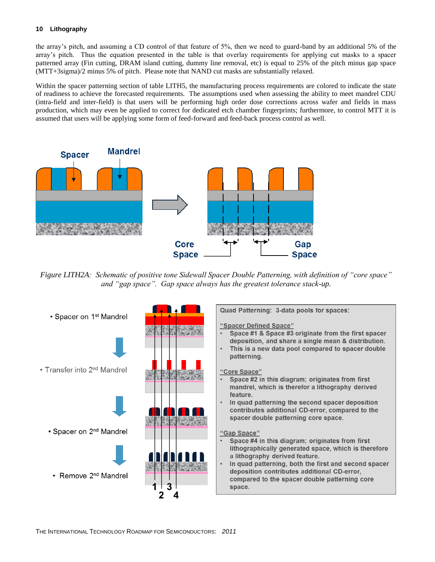the array's pitch, and assuming a CD control of that feature of 5%, then we need to guard-band by an additional 5% of the array's pitch. Thus the equation presented in the table is that overlay requirements for applying cut masks to a spacer patterned array (Fin cutting, DRAM island cutting, dummy line removal, etc) is equal to 25% of the pitch minus gap space (MTT+3sigma)/2 minus 5% of pitch. Please note that NAND cut masks are substantially relaxed.

Within the spacer patterning section of table LITH5, the manufacturing process requirements are colored to indicate the state of readiness to achieve the forecasted requirements. The assumptions used when assessing the ability to meet mandrel CDU (intra-field and inter-field) is that users will be performing high order dose corrections across wafer and fields in mass production, which may even be applied to correct for dedicated etch chamber fingerprints; furthermore, to control MTT it is assumed that users will be applying some form of feed-forward and feed-back process control as well.



*Figure LITH2A: Schematic of positive tone Sidewall Spacer Double Patterning, with definition of "core space" and "gap space". Gap space always has the greatest tolerance stack-up.*

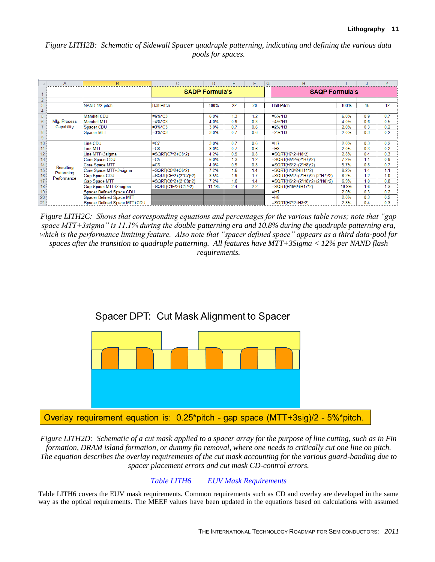## *Figure LITH2B: Schematic of Sidewall Spacer quadruple patterning, indicating and defining the various data pools for spaces.*

|                                                                                      | A                         | B                                                    |                                              | D            | E          | F          | G                     | н                                                              |              |            | К          |
|--------------------------------------------------------------------------------------|---------------------------|------------------------------------------------------|----------------------------------------------|--------------|------------|------------|-----------------------|----------------------------------------------------------------|--------------|------------|------------|
|                                                                                      |                           |                                                      | <b>SADP Formula's</b>                        |              |            |            | <b>SAQP Formula's</b> |                                                                |              |            |            |
| $\overline{2}$<br>3<br>4                                                             |                           | NAND 1/2 pitch                                       | <b>Half-Pitch</b>                            | 100%         | 22         | 20         |                       | <b>Half-Pitch</b>                                              | 100%         | 15         | 12         |
| 5<br>6                                                                               | Mfg. Process              | Mandrel CDU<br>Mandrel MTT                           | =6%*C3<br>=4%*C3                             | 6.0%<br>4.0% | 1.3<br>0.9 | 1.2<br>0.8 |                       | $=6\%$ *H3<br>$=4\%$ *H3                                       | 6.0%<br>4.0% | 0.9<br>0.6 | 0.7<br>0.5 |
| $\overline{7}$<br>$\overline{\mathbf{8}}$                                            | Capability                | Spacer CDU                                           | =3%*C3<br>$=3%$ *C3                          | 3.0%<br>3.0% | 0.7<br>0.7 | 0.6<br>0.6 |                       | $=2\%$ *H3                                                     | 2.0%<br>2.0% | 0.3<br>0.3 | 0.2<br>0.2 |
| 9 <sup>°</sup>                                                                       |                           | Spacer MTT                                           |                                              |              |            |            |                       | $=2\%$ *H3                                                     |              |            |            |
| 10<br>11                                                                             |                           | Line CDU<br>Line MTT                                 | $=$ C7<br>$= C8$                             | 3.0%<br>3.0% | 0.7<br>0.7 | 0.6<br>0.6 |                       | $=$ H7<br>$=$ $H8$                                             | 2.0%<br>2.0% | 0.3<br>0.3 | 0.2<br>0.2 |
| $\begin{array}{r} 12 \\ \hline 13 \\ 14 \\ \hline 15 \\ 16 \\ \hline 17 \end{array}$ |                           | Line MTT+3sigma<br>Core Space CDU                    | =SQRT(C7^2+C8^2)<br>$= C5$                   | 4.2%<br>6.0% | 0.9<br>1.3 | 0.8<br>1.2 |                       | =SQRT(H7^2+H8^2)<br>=SQRT(H5^2+(2*H7)^2)                       | 2.8%<br>7.2% | 0.4<br>1.1 | 0.3<br>0.9 |
|                                                                                      | Resulting                 | Core Space MTT<br>Core Space MTT+3-sigma             | $=$ C6<br>=SQRT(C5^2+C6^2)                   | 4.0%<br>7.2% | 0.9<br>1.6 | 0.8<br>1.4 |                       | =SQRT(H6^2+(2*H8)^2)<br>=SQRT(H13^2+H14^2)                     | 5.7%<br>9.2% | 0.8<br>1.4 | 0.7<br>1.1 |
|                                                                                      | Patterning<br>Performance | <b>Gap Space CDU</b><br><b>Gap Space MTT</b>         | =SQRT(C5^2+(2*C7)^2)<br>=SQRT(C6^2+(2*C8)^2) | 8.5%<br>7.2% | 1.9<br>1.6 | 1.7<br>1.4 |                       | =SQRT(H5^2+(2*H7)^2+(2*H7)^2)<br>=SQRT(H6^2+(2*H8)^2+(2*H8)^2) | 8.2%<br>6.9% | 1.2<br>1.0 | 1.0<br>0.8 |
| $\frac{1}{18}$                                                                       |                           | Gap Space MTT+3-sigma                                | =SQRT(C16^2+C17^2)                           | 11.1%        | 2.4        | 2.2        |                       | =SQRT(H16^2+H17^2)                                             | 10.8%        | 1.6        | 1.3        |
| 19<br>$\overline{20}$                                                                |                           | Spacer Defined Space CDU<br>Spacer Defined Space MTT |                                              |              |            |            |                       | $=$ H7<br>$=$ H <sub>8</sub>                                   | 2.0%<br>2.0% | 0.3<br>0.3 | 0.2<br>0.2 |
| $\overline{21}$                                                                      |                           | Spacer Defined Space MTT+CDU                         |                                              |              |            |            |                       | $=SQRT(H7^{2}+H8^{2})$                                         | 2.8%         | 0.4        | 0.3        |

*Figure LITH2C: Shows that corresponding equations and percentages for the various table rows; note that "gap space MTT+3sigma" is 11.1% during the double patterning era and 10.8% during the quadruple patterning era, which is the performance limiting feature. Also note that "spacer defined space" appears as a third data-pool for spaces after the transition to quadruple patterning. All features have MTT+3Sigma < 12% per NAND flash requirements.*



*Figure LITH2D: Schematic of a cut mask applied to a spacer array for the purpose of line cutting, such as in Fin formation, DRAM island formation, or dummy fin removal, where one needs to critically cut one line on pitch. The equation describes the overlay requirements of the cut mask accounting for the various guard-banding due to spacer placement errors and cut mask CD-control errors.* 

## *Table LITH6 EUV Mask Requirements*

Table LITH6 covers the EUV mask requirements. Common requirements such as CD and overlay are developed in the same way as the optical requirements. The MEEF values have been updated in the equations based on calculations with assumed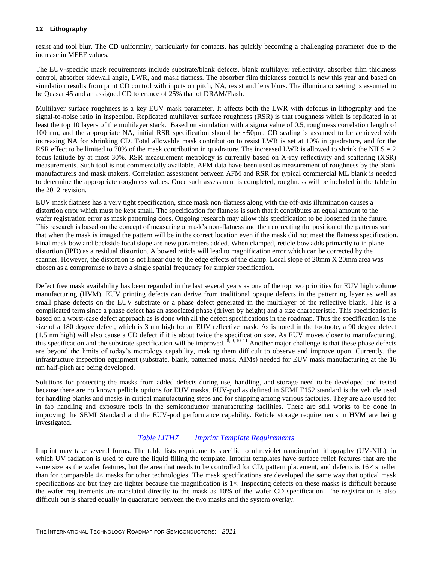resist and tool blur. The CD uniformity, particularly for contacts, has quickly becoming a challenging parameter due to the increase in MEEF values.

The EUV-specific mask requirements include substrate/blank defects, blank multilayer reflectivity, absorber film thickness control, absorber sidewall angle, LWR, and mask flatness. The absorber film thickness control is new this year and based on simulation results from print CD control with inputs on pitch, NA, resist and lens blurs. The illuminator setting is assumed to be Quasar 45 and an assigned CD tolerance of 25% that of DRAM/Flash.

Multilayer surface roughness is a key EUV mask parameter. It affects both the LWR with defocus in lithography and the signal-to-noise ratio in inspection. Replicated multilayer surface roughness (RSR) is that roughness which is replicated in at least the top 10 layers of the multilayer stack. Based on simulation with a sigma value of 0.5, roughness correlation length of 100 nm, and the appropriate NA, initial RSR specification should be ~50pm. CD scaling is assumed to be achieved with increasing NA for shrinking CD. Total allowable mask contribution to resist LWR is set at 10% in quadrature, and for the RSR effect to be limited to 70% of the mask contribution in quadrature. The increased LWR is allowed to shrink the NILS =  $2$ focus latitude by at most 30%. RSR measurement metrology is currently based on X-ray reflectivity and scattering (XSR) measurements. Such tool is not commercially available. AFM data have been used as measurement of roughness by the blank manufacturers and mask makers. Correlation assessment between AFM and RSR for typical commercial ML blank is needed to determine the appropriate roughness values. Once such assessment is completed, roughness will be included in the table in the 2012 revision.

EUV mask flatness has a very tight specification, since mask non-flatness along with the off-axis illumination causes a distortion error which must be kept small. The specification for flatness is such that it contributes an equal amount to the wafer registration error as mask patterning does. Ongoing research may allow this specification to be loosened in the future. This research is based on the concept of measuring a mask's non-flatness and then correcting the position of the patterns such that when the mask is imaged the pattern will be in the correct location even if the mask did not meet the flatness specification. Final mask bow and backside local slope are new parameters added. When clamped, reticle bow adds primarily to in plane distortion (IPD) as a residual distortion. A bowed reticle will lead to magnification error which can be corrected by the scanner. However, the distortion is not linear due to the edge effects of the clamp. Local slope of 20mm X 20mm area was chosen as a compromise to have a single spatial frequency for simpler specification.

Defect free mask availability has been regarded in the last several years as one of the top two priorities for EUV high volume manufacturing (HVM). EUV printing defects can derive from traditional opaque defects in the patterning layer as well as small phase defects on the EUV substrate or a phase defect generated in the multilayer of the reflective blank. This is a complicated term since a phase defect has an associated phase (driven by height) and a size characteristic. This specification is based on a worst-case defect approach as is done with all the defect specifications in the roadmap. Thus the specification is the size of a 180 degree defect, which is 3 nm high for an EUV reflective mask. As is noted in the footnote, a 90 degree defect (1.5 nm high) will also cause a CD defect if it is about twice the specification size. As EUV moves closer to manufacturing, this specification and the substrate specification will be improved.  $^{8,9,10,11}$  Another major challenge is that these phase defects are beyond the limits of today's metrology capability, making them difficult to observe and improve upon. Currently, the infrastructure inspection equipment (substrate, blank, patterned mask, AIMs) needed for EUV mask manufacturing at the 16 nm half-pitch are being developed.

Solutions for protecting the masks from added defects during use, handling, and storage need to be developed and tested because there are no known pellicle options for EUV masks. EUV-pod as defined in SEMI E152 standard is the vehicle used for handling blanks and masks in critical manufacturing steps and for shipping among various factories. They are also used for in fab handling and exposure tools in the semiconductor manufacturing facilities. There are still works to be done in improving the SEMI Standard and the EUV-pod performance capability. Reticle storage requirements in HVM are being investigated.

#### *Table LITH7 Imprint Template Requirements*

Imprint may take several forms. The table lists requirements specific to ultraviolet nanoimprint lithography (UV-NIL), in which UV radiation is used to cure the liquid filling the template. Imprint templates have surface relief features that are the same size as the wafer features, but the area that needs to be controlled for CD, pattern placement, and defects is  $16\times$  smaller than for comparable 4× masks for other technologies. The mask specifications are developed the same way that optical mask specifications are but they are tighter because the magnification is  $1\times$ . Inspecting defects on these masks is difficult because the wafer requirements are translated directly to the mask as 10% of the wafer CD specification. The registration is also difficult but is shared equally in quadrature between the two masks and the system overlay.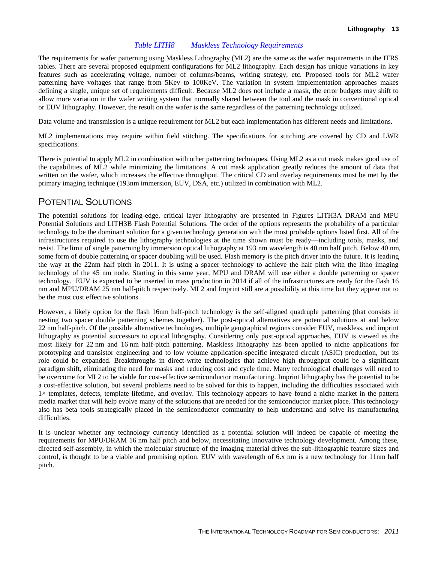#### *Table LITH8 Maskless Technology Requirements*

The requirements for wafer patterning using Maskless Lithography (ML2) are the same as the wafer requirements in the ITRS tables. There are several proposed equipment configurations for ML2 lithography. Each design has unique variations in key features such as accelerating voltage, number of columns/beams, writing strategy, etc. Proposed tools for ML2 wafer patterning have voltages that range from 5Kev to 100KeV. The variation in system implementation approaches makes defining a single, unique set of requirements difficult. Because ML2 does not include a mask, the error budgets may shift to allow more variation in the wafer writing system that normally shared between the tool and the mask in conventional optical or EUV lithography. However, the result on the wafer is the same regardless of the patterning technology utilized.

Data volume and transmission is a unique requirement for ML2 but each implementation has different needs and limitations.

ML2 implementations may require within field stitching. The specifications for stitching are covered by CD and LWR specifications.

There is potential to apply ML2 in combination with other patterning techniques. Using ML2 as a cut mask makes good use of the capabilities of ML2 while minimizing the limitations. A cut mask application greatly reduces the amount of data that written on the wafer, which increases the effective throughput. The critical CD and overlay requirements must be met by the primary imaging technique (193nm immersion, EUV, DSA, etc.) utilized in combination with ML2.

## POTENTIAL SOLUTIONS

The potential solutions for leading-edge, critical layer lithography are presented in Figures LITH3A DRAM and MPU Potential Solutions and LITH3B Flash Potential Solutions. The order of the options represents the probability of a particular technology to be the dominant solution for a given technology generation with the most probable options listed first. All of the infrastructures required to use the lithography technologies at the time shown must be ready—including tools, masks, and resist. The limit of single patterning by immersion optical lithography at 193 nm wavelength is 40 nm half pitch. Below 40 nm, some form of double patterning or spacer doubling will be used. Flash memory is the pitch driver into the future. It is leading the way at the 22nm half pitch in 2011. It is using a spacer technology to achieve the half pitch with the litho imaging technology of the 45 nm node. Starting in this same year, MPU and DRAM will use either a double patterning or spacer technology. EUV is expected to be inserted in mass production in 2014 if all of the infrastructures are ready for the flash 16 nm and MPU/DRAM 25 nm half-pitch respectively. ML2 and Imprint still are a possibility at this time but they appear not to be the most cost effective solutions.

However, a likely option for the flash 16nm half-pitch technology is the self-aligned quadruple patterning (that consists in nesting two spacer double patterning schemes together). The post-optical alternatives are potential solutions at and below 22 nm half-pitch. Of the possible alternative technologies, multiple geographical regions consider EUV, maskless, and imprint lithography as potential successors to optical lithography. Considering only post-optical approaches, EUV is viewed as the most likely for 22 nm and 16 nm half-pitch patterning. Maskless lithography has been applied to niche applications for prototyping and transistor engineering and to low volume application-specific integrated circuit (ASIC) production, but its role could be expanded. Breakthroughs in direct-write technologies that achieve high throughput could be a significant paradigm shift, eliminating the need for masks and reducing cost and cycle time. Many technological challenges will need to be overcome for ML2 to be viable for cost-effective semiconductor manufacturing. Imprint lithography has the potential to be a cost-effective solution, but several problems need to be solved for this to happen, including the difficulties associated with  $1\times$  templates, defects, template lifetime, and overlay. This technology appears to have found a niche market in the pattern media market that will help evolve many of the solutions that are needed for the semiconductor market place. This technology also has beta tools strategically placed in the semiconductor community to help understand and solve its manufacturing difficulties.

It is unclear whether any technology currently identified as a potential solution will indeed be capable of meeting the requirements for MPU/DRAM 16 nm half pitch and below, necessitating innovative technology development. Among these, directed self-assembly, in which the molecular structure of the imaging material drives the sub-lithographic feature sizes and control, is thought to be a viable and promising option. EUV with wavelength of 6.x nm is a new technology for 11nm half pitch.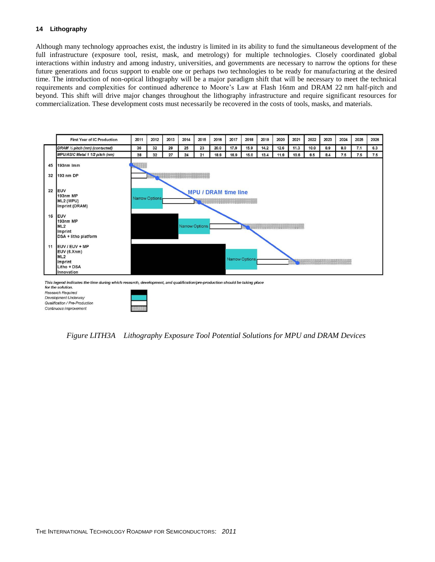Although many technology approaches exist, the industry is limited in its ability to fund the simultaneous development of the full infrastructure (exposure tool, resist, mask, and metrology) for multiple technologies. Closely coordinated global interactions within industry and among industry, universities, and governments are necessary to narrow the options for these future generations and focus support to enable one or perhaps two technologies to be ready for manufacturing at the desired time. The introduction of non-optical lithography will be a major paradigm shift that will be necessary to meet the technical requirements and complexities for continued adherence to Moore's Law at Flash 16nm and DRAM 22 nm half-pitch and beyond. This shift will drive major changes throughout the lithography infrastructure and require significant resources for commercialization. These development costs must necessarily be recovered in the costs of tools, masks, and materials.



for the solution. Research Required Development Underway Qualification / Pre-Production Continuous Improvement



*Figure LITH3A Lithography Exposure Tool Potential Solutions for MPU and DRAM Devices*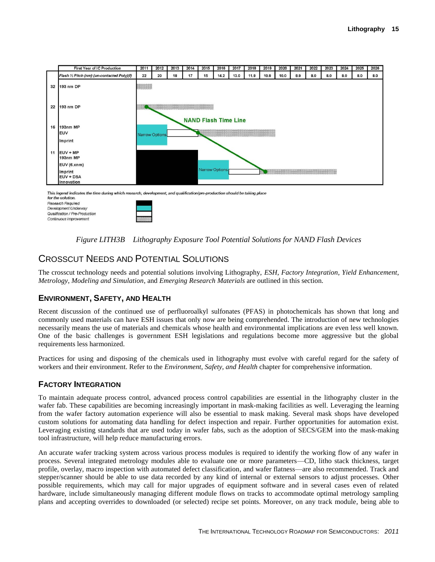

This legend indicates the time during which research, development, and qualification/pre-production should be taking place for the solution.

Research Required Development Underway Qualification / Pre-Production Continuous Improvement



# CROSSCUT NEEDS AND POTENTIAL SOLUTIONS

The crosscut technology needs and potential solutions involving Lithography, *ESH*, *Factory Integration*, *Yield Enhancement*, *Metrology*, *Modeling and Simulation*, and *Emerging Research Materials* are outlined in this section.

## **ENVIRONMENT, SAFETY, AND HEALTH**

Recent discussion of the continued use of perfluoroalkyl sulfonates (PFAS) in photochemicals has shown that long and commonly used materials can have ESH issues that only now are being comprehended. The introduction of new technologies necessarily means the use of materials and chemicals whose health and environmental implications are even less well known. One of the basic challenges is government ESH legislations and regulations become more aggressive but the global requirements less harmonized.

Practices for using and disposing of the chemicals used in lithography must evolve with careful regard for the safety of workers and their environment. Refer to the *Environment, Safety, and Health* chapter for comprehensive information.

## **FACTORY INTEGRATION**

To maintain adequate process control, advanced process control capabilities are essential in the lithography cluster in the wafer fab. These capabilities are becoming increasingly important in mask-making facilities as well. Leveraging the learning from the wafer factory automation experience will also be essential to mask making. Several mask shops have developed custom solutions for automating data handling for defect inspection and repair. Further opportunities for automation exist. Leveraging existing standards that are used today in wafer fabs, such as the adoption of SECS/GEM into the mask-making tool infrastructure, will help reduce manufacturing errors.

An accurate wafer tracking system across various process modules is required to identify the working flow of any wafer in process. Several integrated metrology modules able to evaluate one or more parameters—CD, litho stack thickness, target profile, overlay, macro inspection with automated defect classification, and wafer flatness—are also recommended. Track and stepper/scanner should be able to use data recorded by any kind of internal or external sensors to adjust processes. Other possible requirements, which may call for major upgrades of equipment software and in several cases even of related hardware, include simultaneously managing different module flows on tracks to accommodate optimal metrology sampling plans and accepting overrides to downloaded (or selected) recipe set points. Moreover, on any track module, being able to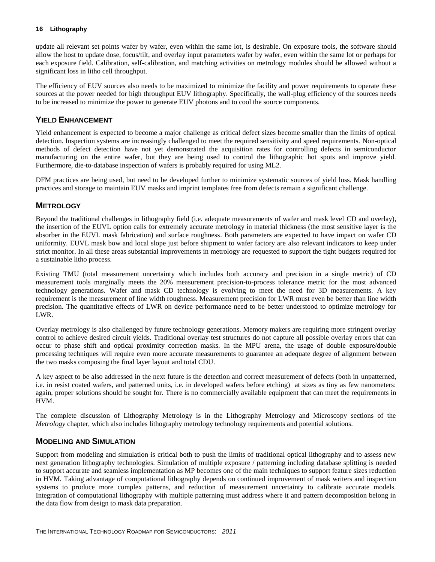update all relevant set points wafer by wafer, even within the same lot, is desirable. On exposure tools, the software should allow the host to update dose, focus/tilt, and overlay input parameters wafer by wafer, even within the same lot or perhaps for each exposure field. Calibration, self-calibration, and matching activities on metrology modules should be allowed without a significant loss in litho cell throughput.

The efficiency of EUV sources also needs to be maximized to minimize the facility and power requirements to operate these sources at the power needed for high throughput EUV lithography. Specifically, the wall-plug efficiency of the sources needs to be increased to minimize the power to generate EUV photons and to cool the source components.

#### **YIELD ENHANCEMENT**

Yield enhancement is expected to become a major challenge as critical defect sizes become smaller than the limits of optical detection. Inspection systems are increasingly challenged to meet the required sensitivity and speed requirements. Non-optical methods of defect detection have not yet demonstrated the acquisition rates for controlling defects in semiconductor manufacturing on the entire wafer, but they are being used to control the lithographic hot spots and improve yield. Furthermore, die-to-database inspection of wafers is probably required for using ML2.

DFM practices are being used, but need to be developed further to minimize systematic sources of yield loss. Mask handling practices and storage to maintain EUV masks and imprint templates free from defects remain a significant challenge.

#### **METROLOGY**

Beyond the traditional challenges in lithography field (i.e. adequate measurements of wafer and mask level CD and overlay), the insertion of the EUVL option calls for extremely accurate metrology in material thickness (the most sensitive layer is the absorber in the EUVL mask fabrication) and surface roughness. Both parameters are expected to have impact on wafer CD uniformity. EUVL mask bow and local slope just before shipment to wafer factory are also relevant indicators to keep under strict monitor. In all these areas substantial improvements in metrology are requested to support the tight budgets required for a sustainable litho process.

Existing TMU (total measurement uncertainty which includes both accuracy and precision in a single metric) of CD measurement tools marginally meets the 20% measurement precision-to-process tolerance metric for the most advanced technology generations. Wafer and mask CD technology is evolving to meet the need for 3D measurements. A key requirement is the measurement of line width roughness. Measurement precision for LWR must even be better than line width precision. The quantitative effects of LWR on device performance need to be better understood to optimize metrology for LWR.

Overlay metrology is also challenged by future technology generations. Memory makers are requiring more stringent overlay control to achieve desired circuit yields. Traditional overlay test structures do not capture all possible overlay errors that can occur to phase shift and optical proximity correction masks. In the MPU arena, the usage of double exposure/double processing techniques will require even more accurate measurements to guarantee an adequate degree of alignment between the two masks composing the final layer layout and total CDU.

A key aspect to be also addressed in the next future is the detection and correct measurement of defects (both in unpatterned, i.e. in resist coated wafers, and patterned units, i.e. in developed wafers before etching) at sizes as tiny as few nanometers: again, proper solutions should be sought for. There is no commercially available equipment that can meet the requirements in HVM.

The complete discussion of Lithography Metrology is in the Lithography Metrology and Microscopy sections of the *Metrology* chapter, which also includes lithography metrology technology requirements and potential solutions.

#### **MODELING AND SIMULATION**

Support from modeling and simulation is critical both to push the limits of traditional optical lithography and to assess new next generation lithography technologies. Simulation of multiple exposure / patterning including database splitting is needed to support accurate and seamless implementation as MP becomes one of the main techniques to support feature sizes reduction in HVM. Taking advantage of computational lithography depends on continued improvement of mask writers and inspection systems to produce more complex patterns, and reduction of measurement uncertainty to calibrate accurate models. Integration of computational lithography with multiple patterning must address where it and pattern decomposition belong in the data flow from design to mask data preparation.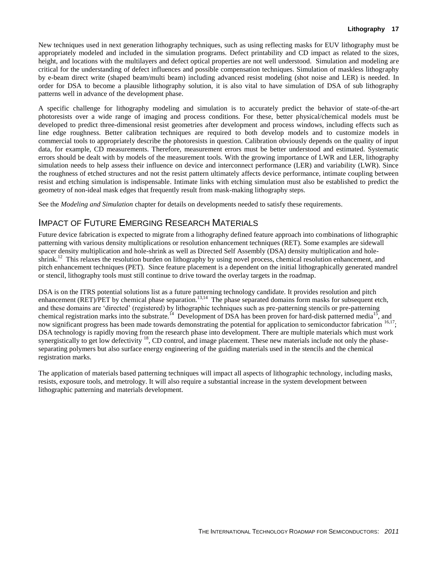New techniques used in next generation lithography techniques, such as using reflecting masks for EUV lithography must be appropriately modeled and included in the simulation programs. Defect printability and CD impact as related to the sizes, height, and locations with the multilayers and defect optical properties are not well understood. Simulation and modeling are critical for the understanding of defect influences and possible compensation techniques. Simulation of maskless lithography by e-beam direct write (shaped beam/multi beam) including advanced resist modeling (shot noise and LER) is needed. In order for DSA to become a plausible lithography solution, it is also vital to have simulation of DSA of sub lithography patterns well in advance of the development phase.

A specific challenge for lithography modeling and simulation is to accurately predict the behavior of state-of-the-art photoresists over a wide range of imaging and process conditions. For these, better physical/chemical models must be developed to predict three-dimensional resist geometries after development and process windows, including effects such as line edge roughness. Better calibration techniques are required to both develop models and to customize models in commercial tools to appropriately describe the photoresists in question. Calibration obviously depends on the quality of input data, for example, CD measurements. Therefore, measurement errors must be better understood and estimated. Systematic errors should be dealt with by models of the measurement tools. With the growing importance of LWR and LER, lithography simulation needs to help assess their influence on device and interconnect performance (LER) and variability (LWR). Since the roughness of etched structures and not the resist pattern ultimately affects device performance, intimate coupling between resist and etching simulation is indispensable. Intimate links with etching simulation must also be established to predict the geometry of non-ideal mask edges that frequently result from mask-making lithography steps.

See the *Modeling and Simulation* chapter for details on developments needed to satisfy these requirements.

## IMPACT OF FUTURE EMERGING RESEARCH MATERIALS

Future device fabrication is expected to migrate from a lithography defined feature approach into combinations of lithographic patterning with various density multiplications or resolution enhancement techniques (RET). Some examples are sidewall spacer density multiplication and hole-shrink as well as Directed Self Assembly (DSA) density multiplication and holeshrink.<sup>12</sup> This relaxes the resolution burden on lithography by using novel process, chemical resolution enhancement, and pitch enhancement techniques (PET). Since feature placement is a dependent on the initial lithographically generated mandrel or stencil, lithography tools must still continue to drive toward the overlay targets in the roadmap.

DSA is on the ITRS potential solutions list as a future patterning technology candidate. It provides resolution and pitch enhancement (RET)/PET by chemical phase separation.<sup>13,14</sup> The phase separated domains form masks for subsequent etch, and these domains are 'directed' (registered) by lithographic techniques such as pre-patterning stencils or pre-patterning chemical registration marks into the substrate.<sup>14</sup> Development of DSA has been proven for hard-disk patterned media<sup>15</sup>, and now significant progress has been made towards demonstrating the potential for application to semiconductor fabrication <sup>16,17</sup>; DSA technology is rapidly moving from the research phase into development. There are multiple materials which must work synergistically to get low defectivity  $18$ , CD control, and image placement. These new materials include not only the phaseseparating polymers but also surface energy engineering of the guiding materials used in the stencils and the chemical registration marks.

The application of materials based patterning techniques will impact all aspects of lithographic technology, including masks, resists, exposure tools, and metrology. It will also require a substantial increase in the system development between lithographic patterning and materials development.